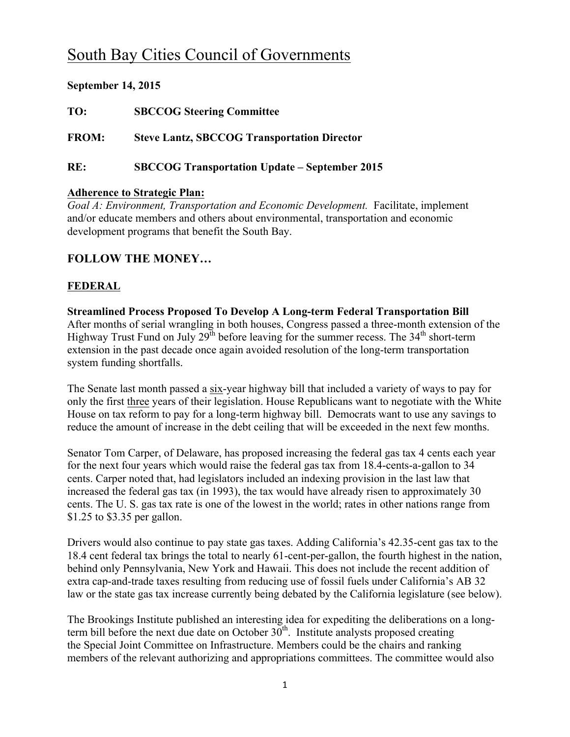# South Bay Cities Council of Governments

## **September 14, 2015**

**TO: SBCCOG Steering Committee**

**FROM: Steve Lantz, SBCCOG Transportation Director**

**RE: SBCCOG Transportation Update – September 2015**

#### **Adherence to Strategic Plan:**

*Goal A: Environment, Transportation and Economic Development.* Facilitate, implement and/or educate members and others about environmental, transportation and economic development programs that benefit the South Bay.

## **FOLLOW THE MONEY…**

## **FEDERAL**

**Streamlined Process Proposed To Develop A Long-term Federal Transportation Bill** After months of serial wrangling in both houses, Congress passed a three-month extension of the Highway Trust Fund on July 29<sup>th</sup> before leaving for the summer recess. The 34<sup>th</sup> short-term extension in the past decade once again avoided resolution of the long-term transportation system funding shortfalls.

The Senate last month passed a six-year highway bill that included a variety of ways to pay for only the first three years of their legislation. House Republicans want to negotiate with the White House on tax reform to pay for a long-term highway bill. Democrats want to use any savings to reduce the amount of increase in the debt ceiling that will be exceeded in the next few months.

Senator Tom Carper, of Delaware, has proposed increasing the federal gas tax 4 cents each year for the next four years which would raise the federal gas tax from 18.4-cents-a-gallon to 34 cents. Carper noted that, had legislators included an indexing provision in the last law that increased the federal gas tax (in 1993), the tax would have already risen to approximately 30 cents. The U. S. gas tax rate is one of the lowest in the world; rates in other nations range from \$1.25 to \$3.35 per gallon.

Drivers would also continue to pay state gas taxes. Adding California's 42.35-cent gas tax to the 18.4 cent federal tax brings the total to nearly 61-cent-per-gallon, the fourth highest in the nation, behind only Pennsylvania, New York and Hawaii. This does not include the recent addition of extra cap-and-trade taxes resulting from reducing use of fossil fuels under California's AB 32 law or the state gas tax increase currently being debated by the California legislature (see below).

The Brookings Institute published an interesting idea for expediting the deliberations on a longterm bill before the next due date on October  $30<sup>th</sup>$ . Institute analysts proposed creating the Special Joint Committee on Infrastructure. Members could be the chairs and ranking members of the relevant authorizing and appropriations committees. The committee would also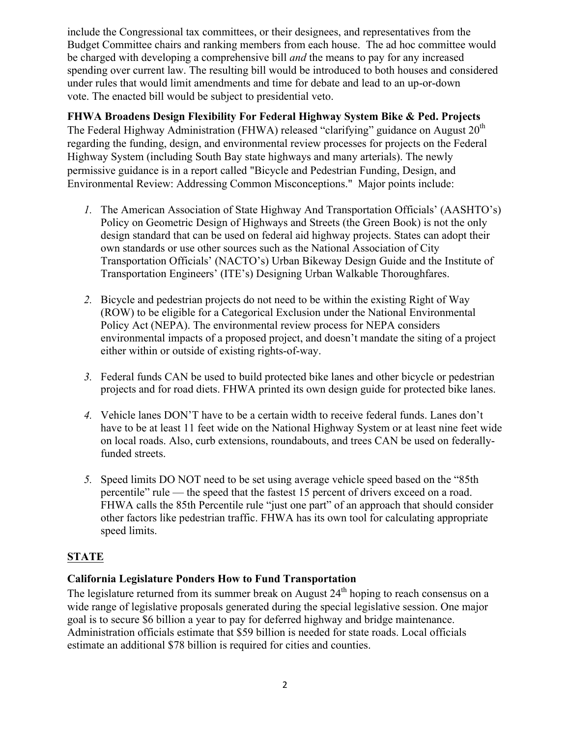include the Congressional tax committees, or their designees, and representatives from the Budget Committee chairs and ranking members from each house. The ad hoc committee would be charged with developing a comprehensive bill *and* the means to pay for any increased spending over current law. The resulting bill would be introduced to both houses and considered under rules that would limit amendments and time for debate and lead to an up-or-down vote. The enacted bill would be subject to presidential veto.

**FHWA Broadens Design Flexibility For Federal Highway System Bike & Ped. Projects** The Federal Highway Administration (FHWA) released "clarifying" guidance on August  $20<sup>th</sup>$ regarding the funding, design, and environmental review processes for projects on the Federal Highway System (including South Bay state highways and many arterials). The newly permissive guidance is in a report called "Bicycle and Pedestrian Funding, Design, and Environmental Review: Addressing Common Misconceptions." Major points include:

- *1.* The American Association of State Highway And Transportation Officials' (AASHTO's) Policy on Geometric Design of Highways and Streets (the Green Book) is not the only design standard that can be used on federal aid highway projects. States can adopt their own standards or use other sources such as the National Association of City Transportation Officials' (NACTO's) Urban Bikeway Design Guide and the Institute of Transportation Engineers' (ITE's) Designing Urban Walkable Thoroughfares.
- *2.* Bicycle and pedestrian projects do not need to be within the existing Right of Way (ROW) to be eligible for a Categorical Exclusion under the National Environmental Policy Act (NEPA). The environmental review process for NEPA considers environmental impacts of a proposed project, and doesn't mandate the siting of a project either within or outside of existing rights-of-way.
- *3.* Federal funds CAN be used to build protected bike lanes and other bicycle or pedestrian projects and for road diets. FHWA printed its own design guide for protected bike lanes.
- *4.* Vehicle lanes DON'T have to be a certain width to receive federal funds. Lanes don't have to be at least 11 feet wide on the National Highway System or at least nine feet wide on local roads. Also, curb extensions, roundabouts, and trees CAN be used on federallyfunded streets.
- *5.* Speed limits DO NOT need to be set using average vehicle speed based on the "85th percentile" rule — the speed that the fastest 15 percent of drivers exceed on a road. FHWA calls the 85th Percentile rule "just one part" of an approach that should consider other factors like pedestrian traffic. FHWA has its own tool for calculating appropriate speed limits.

## **STATE**

## **California Legislature Ponders How to Fund Transportation**

The legislature returned from its summer break on August  $24<sup>th</sup>$  hoping to reach consensus on a wide range of legislative proposals generated during the special legislative session. One major goal is to secure \$6 billion a year to pay for deferred highway and bridge maintenance. Administration officials estimate that \$59 billion is needed for state roads. Local officials estimate an additional \$78 billion is required for cities and counties.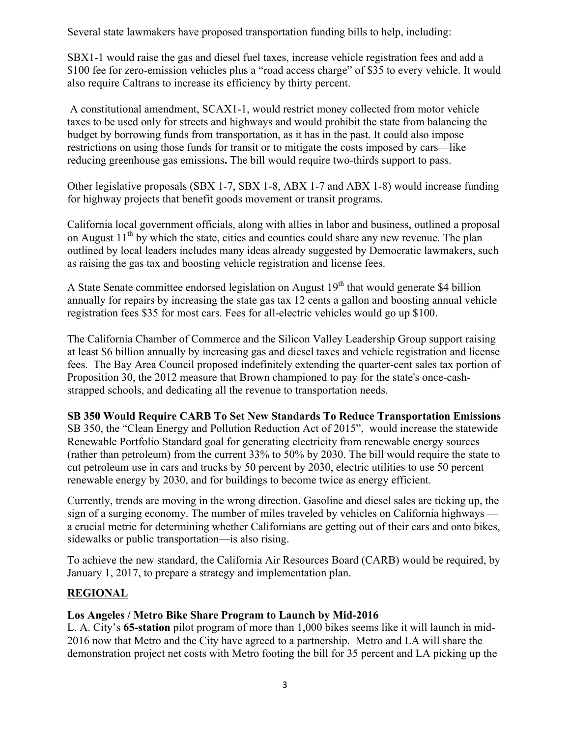Several state lawmakers have proposed transportation funding bills to help, including:

SBX1-1 would raise the gas and diesel fuel taxes, increase vehicle registration fees and add a \$100 fee for zero-emission vehicles plus a "road access charge" of \$35 to every vehicle. It would also require Caltrans to increase its efficiency by thirty percent.

A constitutional amendment, SCAX1-1, would restrict money collected from motor vehicle taxes to be used only for streets and highways and would prohibit the state from balancing the budget by borrowing funds from transportation, as it has in the past. It could also impose restrictions on using those funds for transit or to mitigate the costs imposed by cars—like reducing greenhouse gas emissions**.** The bill would require two-thirds support to pass.

Other legislative proposals (SBX 1-7, SBX 1-8, ABX 1-7 and ABX 1-8) would increase funding for highway projects that benefit goods movement or transit programs.

California local government officials, along with allies in labor and business, outlined a proposal on August  $11<sup>th</sup>$  by which the state, cities and counties could share any new revenue. The plan outlined by local leaders includes many ideas already suggested by Democratic lawmakers, such as raising the gas tax and boosting vehicle registration and license fees.

A State Senate committee endorsed legislation on August  $19<sup>th</sup>$  that would generate \$4 billion annually for repairs by increasing the state gas tax 12 cents a gallon and boosting annual vehicle registration fees \$35 for most cars. Fees for all-electric vehicles would go up \$100.

The California Chamber of Commerce and the Silicon Valley Leadership Group support raising at least \$6 billion annually by increasing gas and diesel taxes and vehicle registration and license fees. The Bay Area Council proposed indefinitely extending the quarter-cent sales tax portion of Proposition 30, the 2012 measure that Brown championed to pay for the state's once-cashstrapped schools, and dedicating all the revenue to transportation needs.

#### **SB 350 Would Require CARB To Set New Standards To Reduce Transportation Emissions**

SB 350, the "Clean Energy and Pollution Reduction Act of 2015", would increase the statewide Renewable Portfolio Standard goal for generating electricity from renewable energy sources (rather than petroleum) from the current 33% to 50% by 2030. The bill would require the state to cut petroleum use in cars and trucks by 50 percent by 2030, electric utilities to use 50 percent renewable energy by 2030, and for buildings to become twice as energy efficient.

Currently, trends are moving in the wrong direction. Gasoline and diesel sales are ticking up, the sign of a surging economy. The number of miles traveled by vehicles on California highways a crucial metric for determining whether Californians are getting out of their cars and onto bikes, sidewalks or public transportation—is also rising.

To achieve the new standard, the California Air Resources Board (CARB) would be required, by January 1, 2017, to prepare a strategy and implementation plan.

## **REGIONAL**

#### **Los Angeles / Metro Bike Share Program to Launch by Mid-2016**

L. A. City's **65-station** pilot program of more than 1,000 bikes seems like it will launch in mid-2016 now that Metro and the City have agreed to a partnership. Metro and LA will share the demonstration project net costs with Metro footing the bill for 35 percent and LA picking up the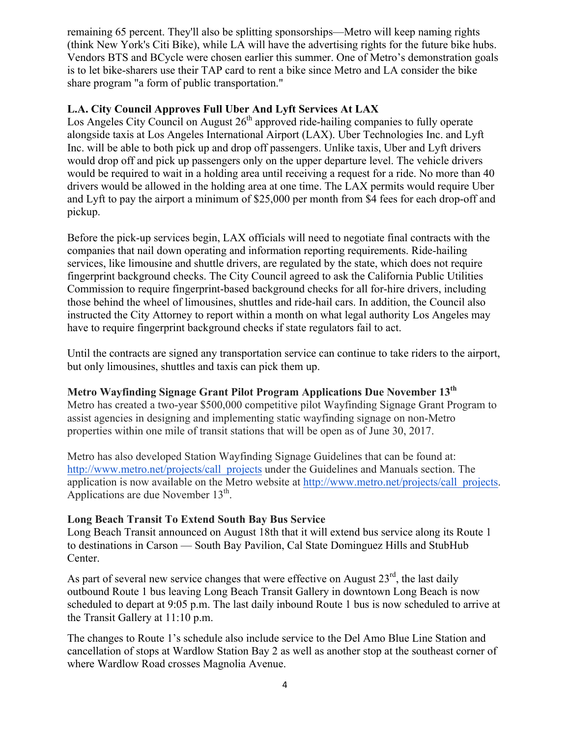remaining 65 percent. They'll also be splitting sponsorships—Metro will keep naming rights (think New York's Citi Bike), while LA will have the advertising rights for the future bike hubs. Vendors BTS and BCycle were chosen earlier this summer. One of Metro's demonstration goals is to let bike-sharers use their TAP card to rent a bike since Metro and LA consider the bike share program "a form of public transportation."

#### **L.A. City Council Approves Full Uber And Lyft Services At LAX**

Los Angeles City Council on August  $26<sup>th</sup>$  approved ride-hailing companies to fully operate alongside taxis at Los Angeles International Airport (LAX). Uber Technologies Inc. and Lyft Inc. will be able to both pick up and drop off passengers. Unlike taxis, Uber and Lyft drivers would drop off and pick up passengers only on the upper departure level. The vehicle drivers would be required to wait in a holding area until receiving a request for a ride. No more than 40 drivers would be allowed in the holding area at one time. The LAX permits would require Uber and Lyft to pay the airport a minimum of \$25,000 per month from \$4 fees for each drop-off and pickup.

Before the pick-up services begin, LAX officials will need to negotiate final contracts with the companies that nail down operating and information reporting requirements. Ride-hailing services, like limousine and shuttle drivers, are regulated by the state, which does not require fingerprint background checks. The City Council agreed to ask the California Public Utilities Commission to require fingerprint-based background checks for all for-hire drivers, including those behind the wheel of limousines, shuttles and ride-hail cars. In addition, the Council also instructed the City Attorney to report within a month on what legal authority Los Angeles may have to require fingerprint background checks if state regulators fail to act.

Until the contracts are signed any transportation service can continue to take riders to the airport, but only limousines, shuttles and taxis can pick them up.

#### **Metro Wayfinding Signage Grant Pilot Program Applications Due November 13th**

Metro has created a two-year \$500,000 competitive pilot Wayfinding Signage Grant Program to assist agencies in designing and implementing static wayfinding signage on non-Metro properties within one mile of transit stations that will be open as of June 30, 2017.

Metro has also developed Station Wayfinding Signage Guidelines that can be found at: http://www.metro.net/projects/call\_projects under the Guidelines and Manuals section. The application is now available on the Metro website at http://www.metro.net/projects/call\_projects. Applications are due November  $13<sup>th</sup>$ .

#### **Long Beach Transit To Extend South Bay Bus Service**

Long Beach Transit announced on August 18th that it will extend bus service along its Route 1 to destinations in Carson — South Bay Pavilion, Cal State Dominguez Hills and StubHub Center.

As part of several new service changes that were effective on August  $23<sup>rd</sup>$ , the last daily outbound Route 1 bus leaving Long Beach Transit Gallery in downtown Long Beach is now scheduled to depart at 9:05 p.m. The last daily inbound Route 1 bus is now scheduled to arrive at the Transit Gallery at 11:10 p.m.

The changes to Route 1's schedule also include service to the Del Amo Blue Line Station and cancellation of stops at Wardlow Station Bay 2 as well as another stop at the southeast corner of where Wardlow Road crosses Magnolia Avenue.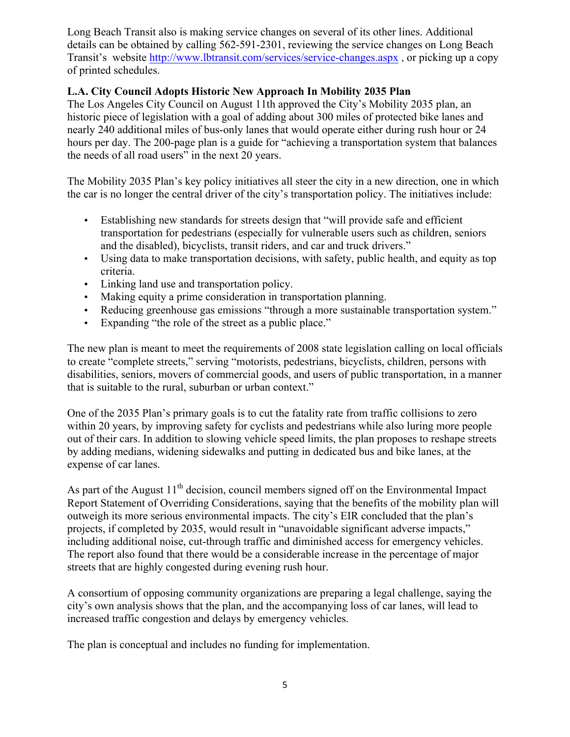Long Beach Transit also is making service changes on several of its other lines. Additional details can be obtained by calling 562-591-2301, reviewing the service changes on Long Beach Transit's website http://www.lbtransit.com/services/service-changes.aspx , or picking up a copy of printed schedules.

#### **L.A. City Council Adopts Historic New Approach In Mobility 2035 Plan**

The Los Angeles City Council on August 11th approved the City's Mobility 2035 plan, an historic piece of legislation with a goal of adding about 300 miles of protected bike lanes and nearly 240 additional miles of bus-only lanes that would operate either during rush hour or 24 hours per day. The 200-page plan is a guide for "achieving a transportation system that balances the needs of all road users" in the next 20 years.

The Mobility 2035 Plan's key policy initiatives all steer the city in a new direction, one in which the car is no longer the central driver of the city's transportation policy. The initiatives include:

- Establishing new standards for streets design that "will provide safe and efficient transportation for pedestrians (especially for vulnerable users such as children, seniors and the disabled), bicyclists, transit riders, and car and truck drivers."
- Using data to make transportation decisions, with safety, public health, and equity as top criteria.
- Linking land use and transportation policy.
- Making equity a prime consideration in transportation planning.
- Reducing greenhouse gas emissions "through a more sustainable transportation system."
- Expanding "the role of the street as a public place."

The new plan is meant to meet the requirements of 2008 state legislation calling on local officials to create "complete streets," serving "motorists, pedestrians, bicyclists, children, persons with disabilities, seniors, movers of commercial goods, and users of public transportation, in a manner that is suitable to the rural, suburban or urban context."

One of the 2035 Plan's primary goals is to cut the fatality rate from traffic collisions to zero within 20 years, by improving safety for cyclists and pedestrians while also luring more people out of their cars. In addition to slowing vehicle speed limits, the plan proposes to reshape streets by adding medians, widening sidewalks and putting in dedicated bus and bike lanes, at the expense of car lanes.

As part of the August  $11<sup>th</sup>$  decision, council members signed off on the Environmental Impact Report Statement of Overriding Considerations, saying that the benefits of the mobility plan will outweigh its more serious environmental impacts. The city's EIR concluded that the plan's projects, if completed by 2035, would result in "unavoidable significant adverse impacts," including additional noise, cut-through traffic and diminished access for emergency vehicles. The report also found that there would be a considerable increase in the percentage of major streets that are highly congested during evening rush hour.

A consortium of opposing community organizations are preparing a legal challenge, saying the city's own analysis shows that the plan, and the accompanying loss of car lanes, will lead to increased traffic congestion and delays by emergency vehicles.

The plan is conceptual and includes no funding for implementation.